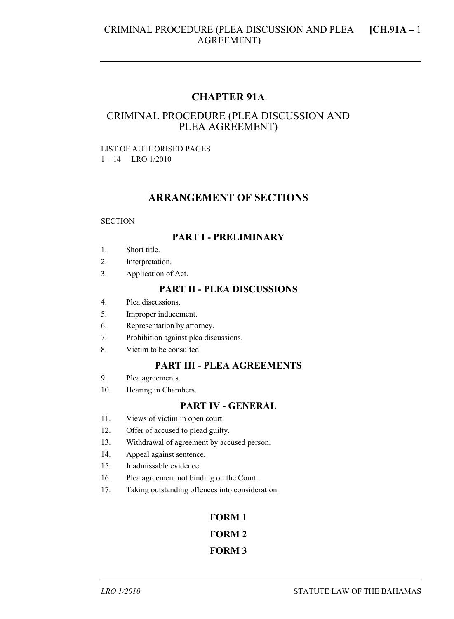# **CHAPTER 91A**

# CRIMINAL PROCEDURE (PLEA DISCUSSION AND PLEA AGREEMENT)

#### LIST OF AUTHORISED PAGES 1 – 14 LRO 1/2010

## **ARRANGEMENT OF SECTIONS**

#### **SECTION**

#### **PART I - PRELIMINARY**

- 1. Short title.
- 2. Interpretation.
- 3. Application of Act.

#### **PART II - PLEA DISCUSSIONS**

- 4. Plea discussions.
- 5. Improper inducement.
- 6. Representation by attorney.
- 7. Prohibition against plea discussions.
- 8. Victim to be consulted.

#### **PART III - PLEA AGREEMENTS**

- 9. Plea agreements.
- 10. Hearing in Chambers.

# **PART IV - GENERAL**

- 11. Views of victim in open court.
- 12. Offer of accused to plead guilty.
- 13. Withdrawal of agreement by accused person.
- 14. Appeal against sentence.
- 15. Inadmissable evidence.
- 16. Plea agreement not binding on the Court.
- 17. Taking outstanding offences into consideration.

# **FORM 1 FORM 2 FORM 3**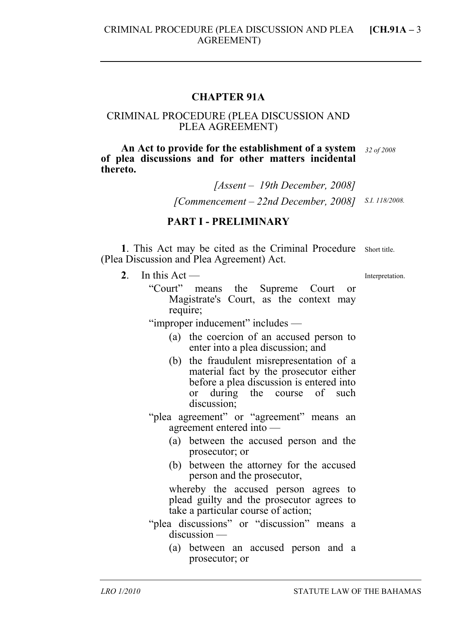#### **CHAPTER 91A**

#### CRIMINAL PROCEDURE (PLEA DISCUSSION AND PLEA AGREEMENT)

**An Act to provide for the establishment of a system**  *32 of 2008*  **of plea discussions and for other matters incidental thereto.** 

> *[Assent – 19th December, 2008] [Commencement – 22nd December, 2008] S.I. 118/2008.*

# **PART I - PRELIMINARY**

1. This Act may be cited as the Criminal Procedure short title. (Plea Discussion and Plea Agreement) Act.

2. In this  $Act$  —

Interpretation.

"Court" means the Supreme Court or Magistrate's Court, as the context may require;

"improper inducement" includes —

- (a) the coercion of an accused person to enter into a plea discussion; and
- (b) the fraudulent misrepresentation of a material fact by the prosecutor either before a plea discussion is entered into or during the course of such discussion;

"plea agreement" or "agreement" means an agreement entered into —

- (a) between the accused person and the prosecutor; or
- (b) between the attorney for the accused person and the prosecutor,

whereby the accused person agrees to plead guilty and the prosecutor agrees to take a particular course of action;

- "plea discussions" or "discussion" means a discussion —
	- (a) between an accused person and a prosecutor; or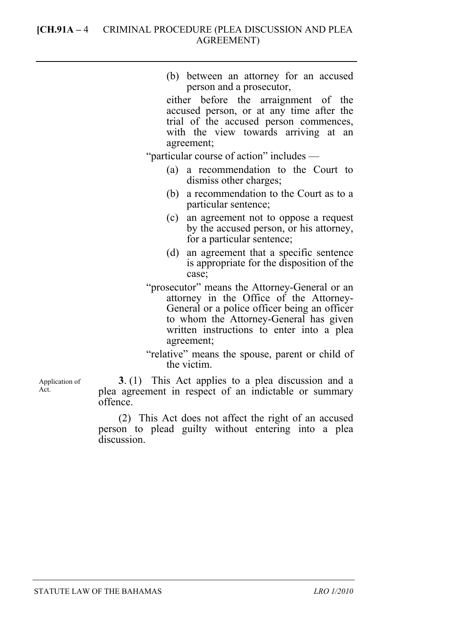# **[CH.91A –** 4 CRIMINAL PROCEDURE (PLEA DISCUSSION AND PLEA AGREEMENT)

| (b) between an attorney for an accused<br>person and a prosecutor,<br>either before the arraignment of the<br>accused person, or at any time after the<br>trial of the accused person commences,<br>with the view towards arriving at an<br>agreement; |
|--------------------------------------------------------------------------------------------------------------------------------------------------------------------------------------------------------------------------------------------------------|
| "particular course of action" includes —                                                                                                                                                                                                               |
|                                                                                                                                                                                                                                                        |
| a recommendation to the Court to<br>(a)<br>dismiss other charges;                                                                                                                                                                                      |
| a recommendation to the Court as to a<br>(b)<br>particular sentence;                                                                                                                                                                                   |
| (c)<br>an agreement not to oppose a request<br>by the accused person, or his attorney,<br>for a particular sentence;                                                                                                                                   |
| (d) an agreement that a specific sentence<br>is appropriate for the disposition of the<br>case;                                                                                                                                                        |
| "prosecutor" means the Attorney-General or an<br>attorney in the Office of the Attorney-<br>General or a police officer being an officer<br>to whom the Attorney-General has given<br>written instructions to enter into a plea<br>agreement;          |
| "relative" means the spouse, parent or child of                                                                                                                                                                                                        |

the victim.

**3**. (1) This Act applies to a plea discussion and a plea agreement in respect of an indictable or summary offence.

(2) This Act does not affect the right of an accused person to plead guilty without entering into a plea discussion.

Application of Act.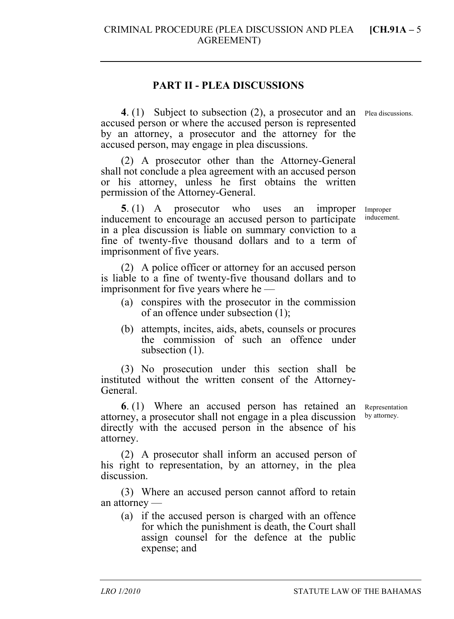## **PART II - PLEA DISCUSSIONS**

CRIMINAL PROCEDURE (PLEA DISCUSSION AND PLEA AGREEMENT)

**4**. (1) Subject to subsection (2), a prosecutor and an Plea discussions. accused person or where the accused person is represented by an attorney, a prosecutor and the attorney for the accused person, may engage in plea discussions.

(2) A prosecutor other than the Attorney-General shall not conclude a plea agreement with an accused person or his attorney, unless he first obtains the written permission of the Attorney-General.

**5**. (1) A prosecutor who uses an improper inducement to encourage an accused person to participate in a plea discussion is liable on summary conviction to a fine of twenty-five thousand dollars and to a term of imprisonment of five years.

(2) A police officer or attorney for an accused person is liable to a fine of twenty-five thousand dollars and to imprisonment for five years where he —

- (a) conspires with the prosecutor in the commission of an offence under subsection (1);
- (b) attempts, incites, aids, abets, counsels or procures the commission of such an offence under subsection  $(1)$ .

(3) No prosecution under this section shall be instituted without the written consent of the Attorney-General.

**6**. (1) Where an accused person has retained an attorney, a prosecutor shall not engage in a plea discussion directly with the accused person in the absence of his attorney.

(2) A prosecutor shall inform an accused person of his right to representation, by an attorney, in the plea discussion.

(3) Where an accused person cannot afford to retain an attorney —

(a) if the accused person is charged with an offence for which the punishment is death, the Court shall assign counsel for the defence at the public expense; and

Improper inducement.

Representation by attorney.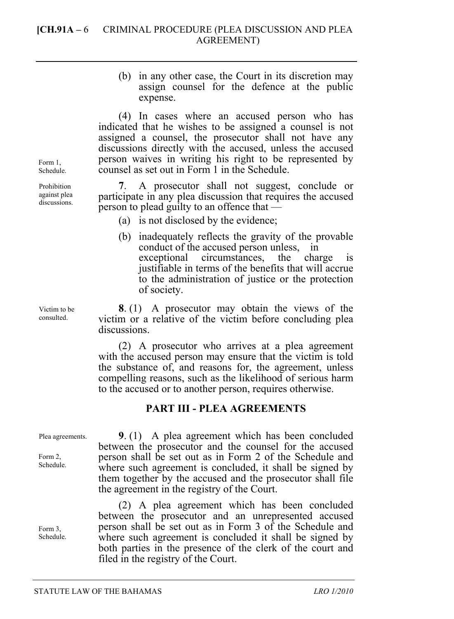(b) in any other case, the Court in its discretion may assign counsel for the defence at the public expense.

(4) In cases where an accused person who has indicated that he wishes to be assigned a counsel is not assigned a counsel, the prosecutor shall not have any discussions directly with the accused, unless the accused person waives in writing his right to be represented by counsel as set out in Form 1 in the Schedule.

**7**. A prosecutor shall not suggest, conclude or participate in any plea discussion that requires the accused person to plead guilty to an offence that —

- (a) is not disclosed by the evidence;
- (b) inadequately reflects the gravity of the provable conduct of the accused person unless, in exceptional circumstances, the charge is justifiable in terms of the benefits that will accrue to the administration of justice or the protection of society.

**8**. (1) A prosecutor may obtain the views of the victim or a relative of the victim before concluding plea discussions.

(2) A prosecutor who arrives at a plea agreement with the accused person may ensure that the victim is told the substance of, and reasons for, the agreement, unless compelling reasons, such as the likelihood of serious harm to the accused or to another person, requires otherwise.

## **PART III - PLEA AGREEMENTS**

Plea agreements.

Form 2, Schedule.

Form 3, Schedule.

**9**. (1) A plea agreement which has been concluded between the prosecutor and the counsel for the accused person shall be set out as in Form 2 of the Schedule and where such agreement is concluded, it shall be signed by them together by the accused and the prosecutor shall file the agreement in the registry of the Court.

(2) A plea agreement which has been concluded between the prosecutor and an unrepresented accused person shall be set out as in Form 3 of the Schedule and where such agreement is concluded it shall be signed by both parties in the presence of the clerk of the court and filed in the registry of the Court.

Form 1 Schedule.

Prohibition against plea discussions.

Victim to be consulted.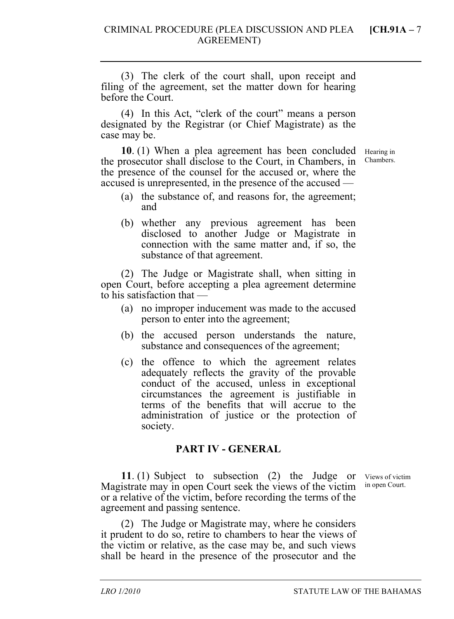(3) The clerk of the court shall, upon receipt and filing of the agreement, set the matter down for hearing before the Court.

(4) In this Act, "clerk of the court" means a person designated by the Registrar (or Chief Magistrate) as the case may be.

**10**. (1) When a plea agreement has been concluded the prosecutor shall disclose to the Court, in Chambers, in the presence of the counsel for the accused or, where the accused is unrepresented, in the presence of the accused —

Hearing in Chambers.

- (a) the substance of, and reasons for, the agreement; and
- (b) whether any previous agreement has been disclosed to another Judge or Magistrate in connection with the same matter and, if so, the substance of that agreement.

(2) The Judge or Magistrate shall, when sitting in open Court, before accepting a plea agreement determine to his satisfaction that —

- (a) no improper inducement was made to the accused person to enter into the agreement;
- (b) the accused person understands the nature, substance and consequences of the agreement;
- (c) the offence to which the agreement relates adequately reflects the gravity of the provable conduct of the accused, unless in exceptional circumstances the agreement is justifiable in terms of the benefits that will accrue to the administration of justice or the protection of society.

# **PART IV - GENERAL**

**11**. (1) Subject to subsection (2) the Judge or Magistrate may in open Court seek the views of the victim or a relative of the victim, before recording the terms of the agreement and passing sentence.

Views of victim in open Court.

(2) The Judge or Magistrate may, where he considers it prudent to do so, retire to chambers to hear the views of the victim or relative, as the case may be, and such views shall be heard in the presence of the prosecutor and the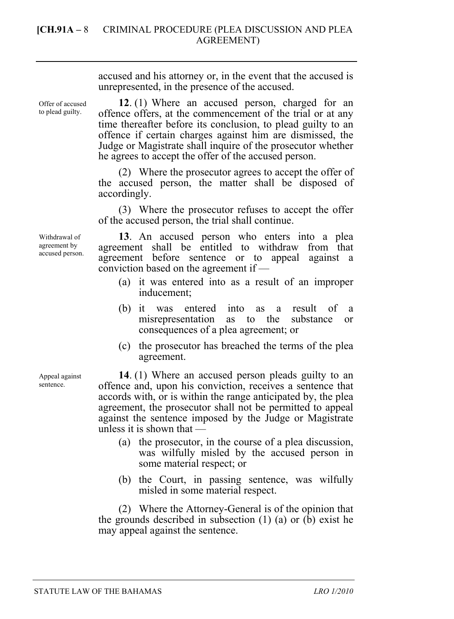Offer of accused to plead guilty.

**12**. (1) Where an accused person, charged for an offence offers, at the commencement of the trial or at any time thereafter before its conclusion, to plead guilty to an offence if certain charges against him are dismissed, the Judge or Magistrate shall inquire of the prosecutor whether he agrees to accept the offer of the accused person.

(2) Where the prosecutor agrees to accept the offer of the accused person, the matter shall be disposed of accordingly.

(3) Where the prosecutor refuses to accept the offer of the accused person, the trial shall continue.

**13**. An accused person who enters into a plea agreement shall be entitled to withdraw from that agreement before sentence or to appeal against a conviction based on the agreement if —

- (a) it was entered into as a result of an improper inducement;
- (b) it was entered into as a result of a misrepresentation as to the substance or consequences of a plea agreement; or
- (c) the prosecutor has breached the terms of the plea agreement.

**14**. (1) Where an accused person pleads guilty to an offence and, upon his conviction, receives a sentence that accords with, or is within the range anticipated by, the plea agreement, the prosecutor shall not be permitted to appeal against the sentence imposed by the Judge or Magistrate unless it is shown that —

- (a) the prosecutor, in the course of a plea discussion, was wilfully misled by the accused person in some material respect; or
- (b) the Court, in passing sentence, was wilfully misled in some material respect.

(2) Where the Attorney-General is of the opinion that the grounds described in subsection (1) (a) or (b) exist he may appeal against the sentence.

Withdrawal of agreement by accused person.

Appeal against sentence.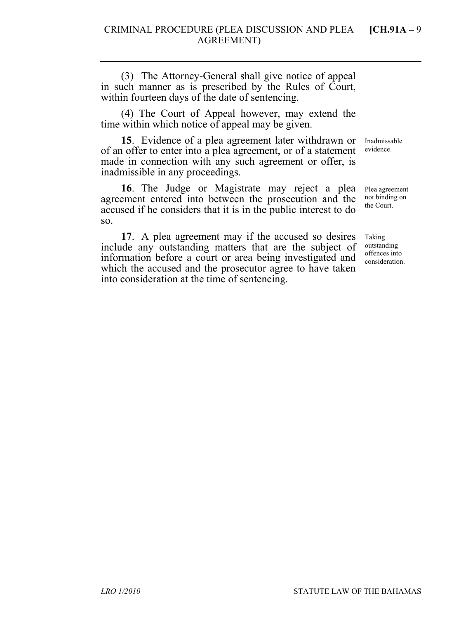(3) The Attorney-General shall give notice of appeal in such manner as is prescribed by the Rules of Court, within fourteen days of the date of sentencing.

(4) The Court of Appeal however, may extend the time within which notice of appeal may be given.

**15**. Evidence of a plea agreement later withdrawn or of an offer to enter into a plea agreement, or of a statement made in connection with any such agreement or offer, is inadmissible in any proceedings.

**16**. The Judge or Magistrate may reject a plea agreement entered into between the prosecution and the accused if he considers that it is in the public interest to do so.

**17**. A plea agreement may if the accused so desires include any outstanding matters that are the subject of information before a court or area being investigated and which the accused and the prosecutor agree to have taken into consideration at the time of sentencing.

Inadmissable evidence.

Plea agreement not binding on the Court.

Taking outstanding offences into consideration.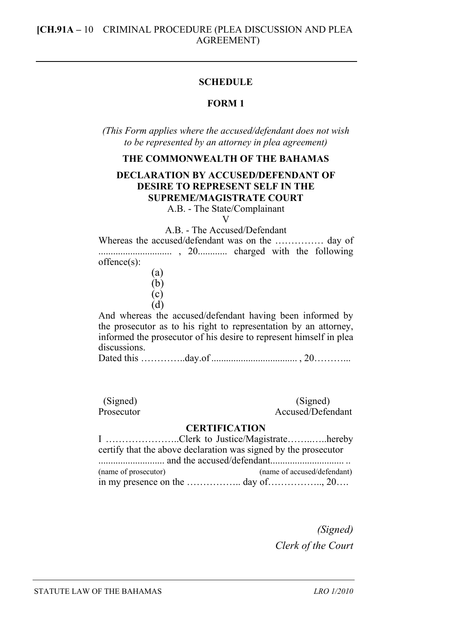#### **SCHEDULE**

## **FORM 1**

*(This Form applies where the accused/defendant does not wish to be represented by an attorney in plea agreement)* 

#### **THE COMMONWEALTH OF THE BAHAMAS**

# **DECLARATION BY ACCUSED/DEFENDANT OF DESIRE TO REPRESENT SELF IN THE SUPREME/MAGISTRATE COURT**

A.B. - The State/Complainant V

A.B. - The Accused/Defendant

Whereas the accused/defendant was on the …………… day of .............................. , 20............ charged with the following offence(s):

- (a)
	- (b)
	- (c)
- (d)

And whereas the accused/defendant having been informed by the prosecutor as to his right to representation by an attorney, informed the prosecutor of his desire to represent himself in plea discussions.

Dated this …………..day.of ................................... , 20………...

| (Signed)   | (Signed)          |
|------------|-------------------|
| Prosecutor | Accused/Defendant |

#### **CERTIFICATION**

I …………………..Clerk to Justice/Magistrate……..…..hereby certify that the above declaration was signed by the prosecutor ........................... and the accused/defendant.............................. .. (name of prosecutor) (name of accused/defendant) in my presence on the  $\ldots$   $\ldots$   $\ldots$  day of  $\ldots$   $\ldots$   $\ldots$   $\ldots$   $\ldots$   $\ldots$   $\ldots$   $\ldots$ 

> *(Signed) Clerk of the Court*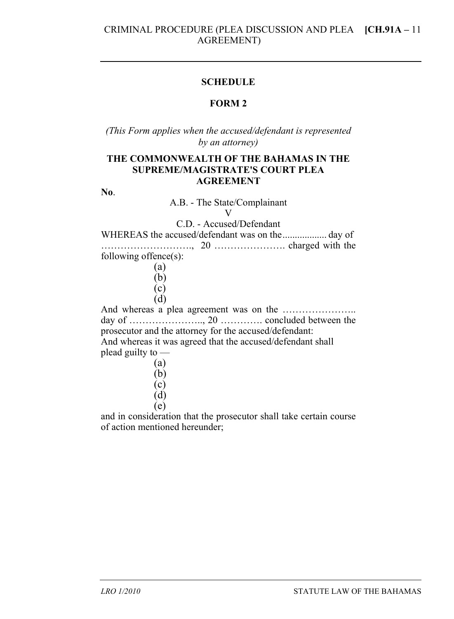#### **SCHEDULE**

# **FORM 2**

*(This Form applies when the accused/defendant is represented by an attorney)* 

# **THE COMMONWEALTH OF THE BAHAMAS IN THE SUPREME/MAGISTRATE'S COURT PLEA AGREEMENT**

**No**.

A.B. - The State/Complainant

 $\mathbf{V}$ 

C.D. - Accused/Defendant

WHEREAS the accused/defendant was on the.................. day of ………………………., 20 …………………. charged with the following offence(s):

> (a) (b) (c)

(d)

And whereas a plea agreement was on the ………………….. day of ………………….., 20 …………. concluded between the prosecutor and the attorney for the accused/defendant: And whereas it was agreed that the accused/defendant shall plead guilty to —

| ۶ |  |
|---|--|
|   |  |
|   |  |

- $(d)$
- (e)

and in consideration that the prosecutor shall take certain course of action mentioned hereunder;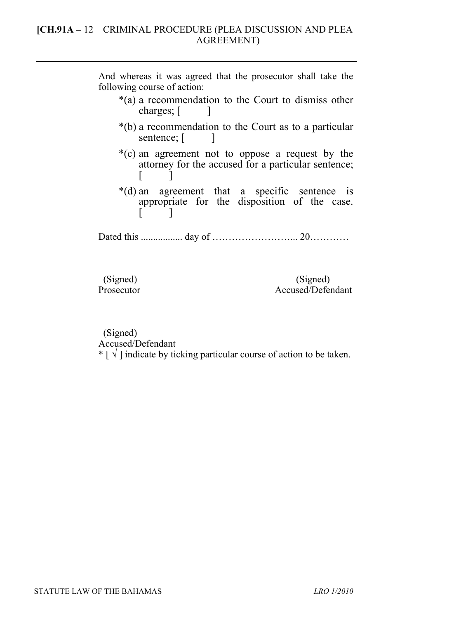And whereas it was agreed that the prosecutor shall take the following course of action:

- \*(a) a recommendation to the Court to dismiss other charges;  $\lceil$   $\rceil$
- \*(b) a recommendation to the Court as to a particular sentence; [ ]
- \*(c) an agreement not to oppose a request by the attorney for the accused for a particular sentence;  $\mathsf{I}$
- \*(d) an agreement that a specific sentence is appropriate for the disposition of the case.  $\lceil$  1

Dated this ................. day of ……………………... 20…………

(Signed) (Signed) (Signed) (Signed) (Signed) Accused/Defendant

 (Signed) Accused/Defendant

\*  $\lceil \sqrt{\ } \rceil$  indicate by ticking particular course of action to be taken.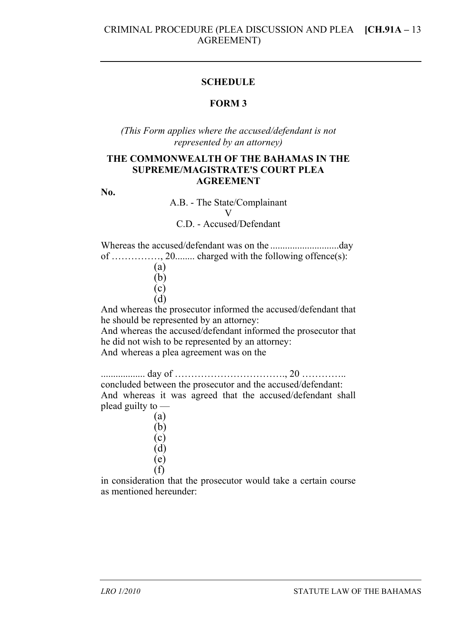## **SCHEDULE**

# **FORM 3**

*(This Form applies where the accused/defendant is not represented by an attorney)* 

## **THE COMMONWEALTH OF THE BAHAMAS IN THE SUPREME/MAGISTRATE'S COURT PLEA AGREEMENT**

**No.** 

A.B. - The State/Complainant V

C.D. - Accused/Defendant

Whereas the accused/defendant was on the ............................day of ……………, 20........ charged with the following offence(s):

> (a) (b) (c) (d)

And whereas the prosecutor informed the accused/defendant that he should be represented by an attorney:

And whereas the accused/defendant informed the prosecutor that he did not wish to be represented by an attorney:

And whereas a plea agreement was on the

.................. day of ……………………………., 20 ………….. concluded between the prosecutor and the accused/defendant: And whereas it was agreed that the accused/defendant shall plead guilty to —

> (a) (b) (c) (d) (e) (f)

in consideration that the prosecutor would take a certain course as mentioned hereunder: